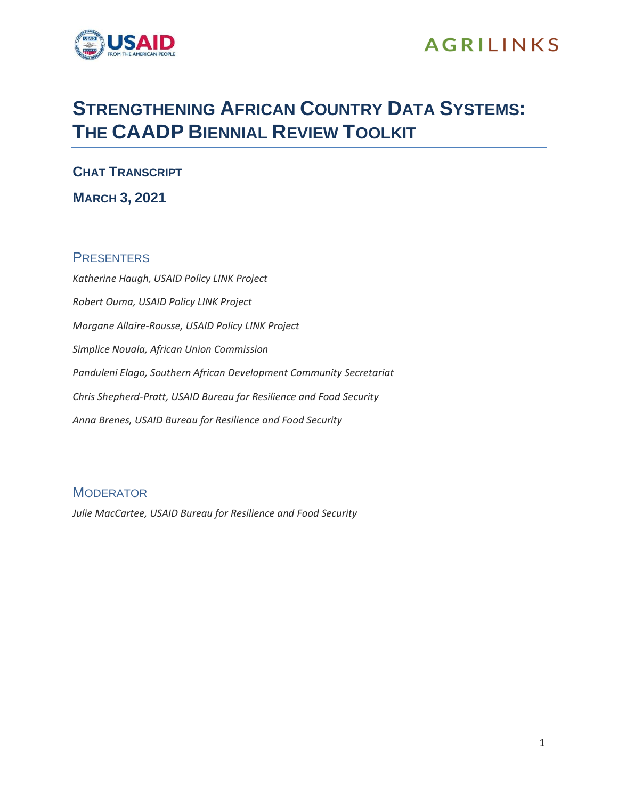

## **AGRILINKS**

# **STRENGTHENING AFRICAN COUNTRY DATA SYSTEMS: THE CAADP BIENNIAL REVIEW TOOLKIT**

**CHAT TRANSCRIPT**

## **MARCH 3, 2021**

### **PRESENTERS**

*Katherine Haugh, USAID Policy LINK Project Robert Ouma, USAID Policy LINK Project Morgane Allaire-Rousse, USAID Policy LINK Project Simplice Nouala, African Union Commission Panduleni Elago, Southern African Development Community Secretariat Chris Shepherd-Pratt, USAID Bureau for Resilience and Food Security Anna Brenes, USAID Bureau for Resilience and Food Security*

### **MODERATOR**

*Julie MacCartee, USAID Bureau for Resilience and Food Security*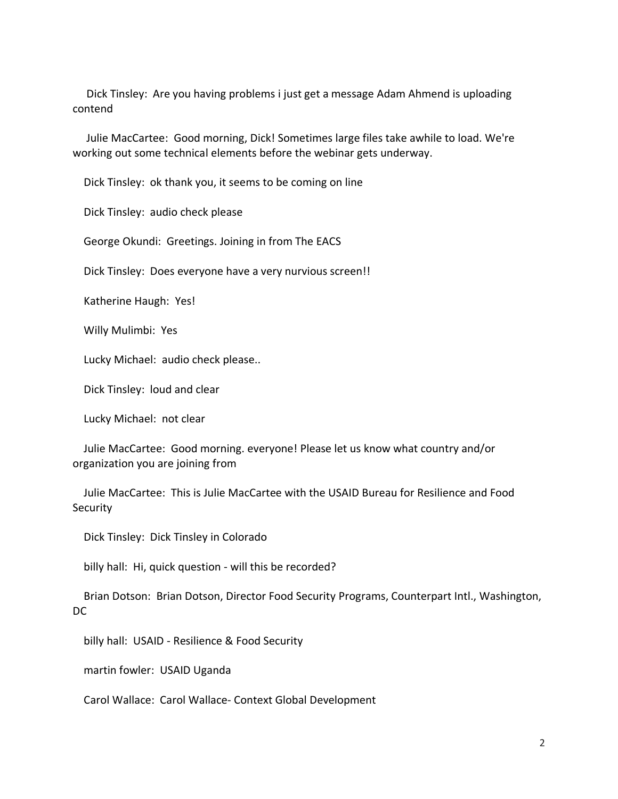Dick Tinsley: Are you having problems i just get a message Adam Ahmend is uploading contend

 Julie MacCartee: Good morning, Dick! Sometimes large files take awhile to load. We're working out some technical elements before the webinar gets underway.

Dick Tinsley: ok thank you, it seems to be coming on line

Dick Tinsley: audio check please

George Okundi: Greetings. Joining in from The EACS

Dick Tinsley: Does everyone have a very nurvious screen!!

Katherine Haugh: Yes!

Willy Mulimbi: Yes

Lucky Michael: audio check please..

Dick Tinsley: loud and clear

Lucky Michael: not clear

 Julie MacCartee: Good morning. everyone! Please let us know what country and/or organization you are joining from

 Julie MacCartee: This is Julie MacCartee with the USAID Bureau for Resilience and Food **Security** 

Dick Tinsley: Dick Tinsley in Colorado

billy hall: Hi, quick question - will this be recorded?

 Brian Dotson: Brian Dotson, Director Food Security Programs, Counterpart Intl., Washington, DC

billy hall: USAID - Resilience & Food Security

martin fowler: USAID Uganda

Carol Wallace: Carol Wallace- Context Global Development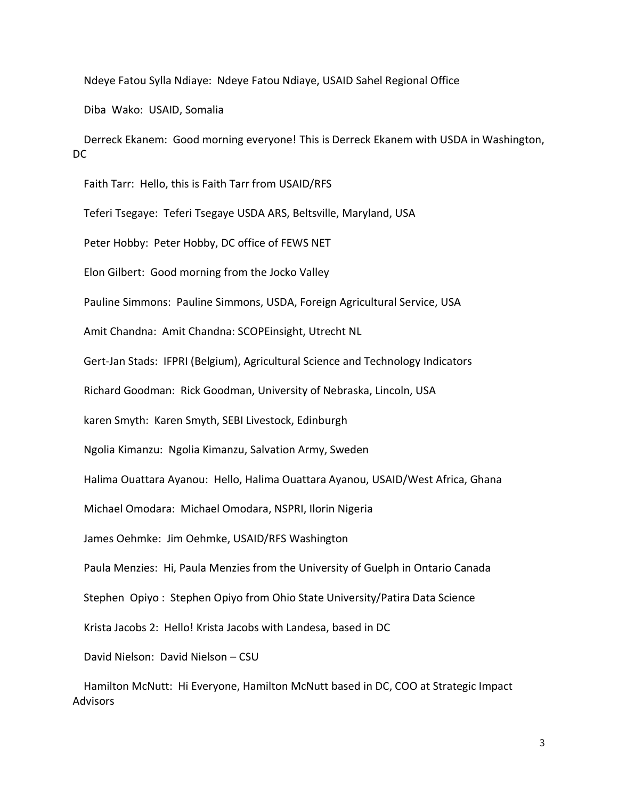Ndeye Fatou Sylla Ndiaye: Ndeye Fatou Ndiaye, USAID Sahel Regional Office

Diba Wako: USAID, Somalia

 Derreck Ekanem: Good morning everyone! This is Derreck Ekanem with USDA in Washington, DC

Faith Tarr: Hello, this is Faith Tarr from USAID/RFS

Teferi Tsegaye: Teferi Tsegaye USDA ARS, Beltsville, Maryland, USA

Peter Hobby: Peter Hobby, DC office of FEWS NET

Elon Gilbert: Good morning from the Jocko Valley

Pauline Simmons: Pauline Simmons, USDA, Foreign Agricultural Service, USA

Amit Chandna: Amit Chandna: SCOPEinsight, Utrecht NL

Gert-Jan Stads: IFPRI (Belgium), Agricultural Science and Technology Indicators

Richard Goodman: Rick Goodman, University of Nebraska, Lincoln, USA

karen Smyth: Karen Smyth, SEBI Livestock, Edinburgh

Ngolia Kimanzu: Ngolia Kimanzu, Salvation Army, Sweden

Halima Ouattara Ayanou: Hello, Halima Ouattara Ayanou, USAID/West Africa, Ghana

Michael Omodara: Michael Omodara, NSPRI, Ilorin Nigeria

James Oehmke: Jim Oehmke, USAID/RFS Washington

Paula Menzies: Hi, Paula Menzies from the University of Guelph in Ontario Canada

Stephen Opiyo : Stephen Opiyo from Ohio State University/Patira Data Science

Krista Jacobs 2: Hello! Krista Jacobs with Landesa, based in DC

David Nielson: David Nielson – CSU

 Hamilton McNutt: Hi Everyone, Hamilton McNutt based in DC, COO at Strategic Impact **Advisors**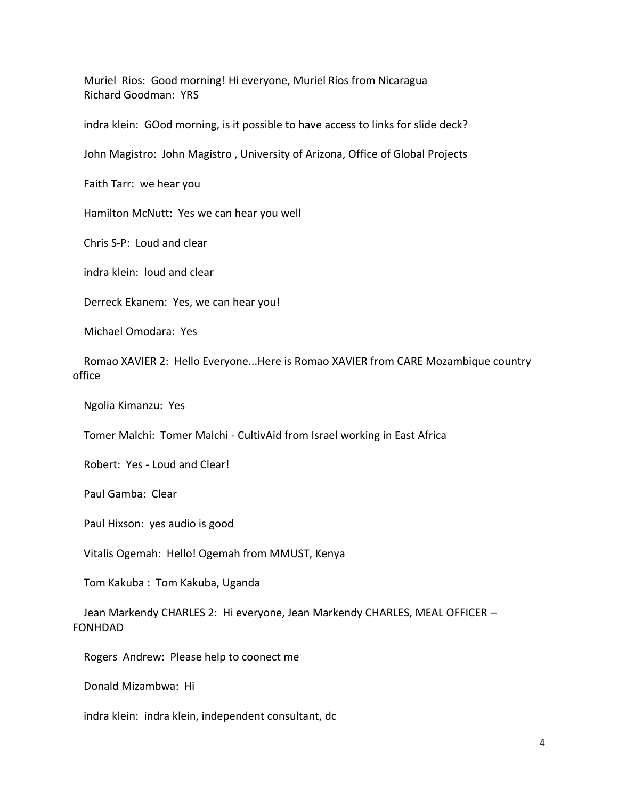Muriel Rios: Good morning! Hi everyone, Muriel Ríos from Nicaragua Richard Goodman: YRS

indra klein: GOod morning, is it possible to have access to links for slide deck?

John Magistro: John Magistro , University of Arizona, Office of Global Projects

Faith Tarr: we hear you

Hamilton McNutt: Yes we can hear you well

Chris S-P: Loud and clear

indra klein: loud and clear

Derreck Ekanem: Yes, we can hear you!

Michael Omodara: Yes

 Romao XAVIER 2: Hello Everyone...Here is Romao XAVIER from CARE Mozambique country office

Ngolia Kimanzu: Yes

Tomer Malchi: Tomer Malchi - CultivAid from Israel working in East Africa

Robert: Yes - Loud and Clear!

Paul Gamba: Clear

Paul Hixson: yes audio is good

Vitalis Ogemah: Hello! Ogemah from MMUST, Kenya

Tom Kakuba : Tom Kakuba, Uganda

 Jean Markendy CHARLES 2: Hi everyone, Jean Markendy CHARLES, MEAL OFFICER – FONHDAD

Rogers Andrew: Please help to coonect me

Donald Mizambwa: Hi

indra klein: indra klein, independent consultant, dc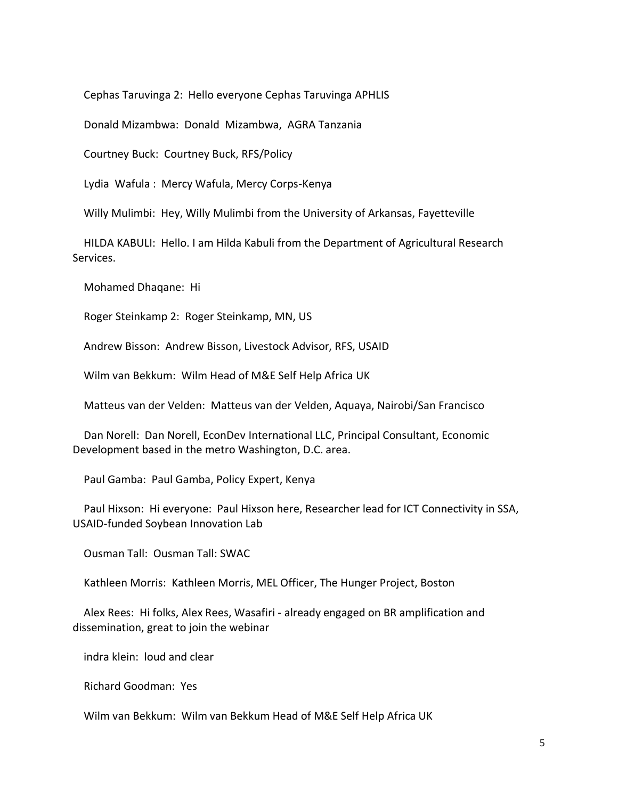Cephas Taruvinga 2: Hello everyone Cephas Taruvinga APHLIS

Donald Mizambwa: Donald Mizambwa, AGRA Tanzania

Courtney Buck: Courtney Buck, RFS/Policy

Lydia Wafula : Mercy Wafula, Mercy Corps-Kenya

Willy Mulimbi: Hey, Willy Mulimbi from the University of Arkansas, Fayetteville

 HILDA KABULI: Hello. I am Hilda Kabuli from the Department of Agricultural Research Services.

Mohamed Dhaqane: Hi

Roger Steinkamp 2: Roger Steinkamp, MN, US

Andrew Bisson: Andrew Bisson, Livestock Advisor, RFS, USAID

Wilm van Bekkum: Wilm Head of M&E Self Help Africa UK

Matteus van der Velden: Matteus van der Velden, Aquaya, Nairobi/San Francisco

 Dan Norell: Dan Norell, EconDev International LLC, Principal Consultant, Economic Development based in the metro Washington, D.C. area.

Paul Gamba: Paul Gamba, Policy Expert, Kenya

 Paul Hixson: Hi everyone: Paul Hixson here, Researcher lead for ICT Connectivity in SSA, USAID-funded Soybean Innovation Lab

Ousman Tall: Ousman Tall: SWAC

Kathleen Morris: Kathleen Morris, MEL Officer, The Hunger Project, Boston

 Alex Rees: Hi folks, Alex Rees, Wasafiri - already engaged on BR amplification and dissemination, great to join the webinar

indra klein: loud and clear

Richard Goodman: Yes

Wilm van Bekkum: Wilm van Bekkum Head of M&E Self Help Africa UK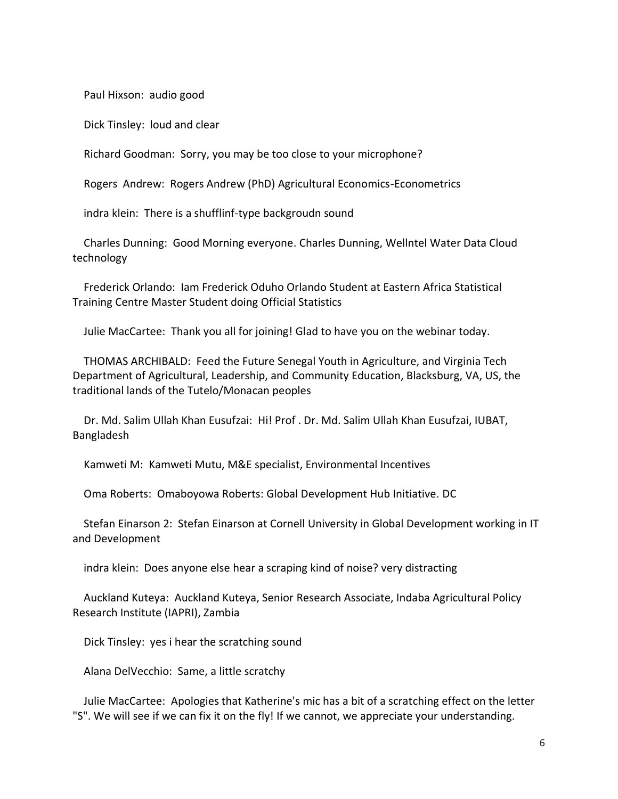Paul Hixson: audio good

Dick Tinsley: loud and clear

Richard Goodman: Sorry, you may be too close to your microphone?

Rogers Andrew: Rogers Andrew (PhD) Agricultural Economics-Econometrics

indra klein: There is a shufflinf-type backgroudn sound

 Charles Dunning: Good Morning everyone. Charles Dunning, Wellntel Water Data Cloud technology

 Frederick Orlando: Iam Frederick Oduho Orlando Student at Eastern Africa Statistical Training Centre Master Student doing Official Statistics

Julie MacCartee: Thank you all for joining! Glad to have you on the webinar today.

 THOMAS ARCHIBALD: Feed the Future Senegal Youth in Agriculture, and Virginia Tech Department of Agricultural, Leadership, and Community Education, Blacksburg, VA, US, the traditional lands of the Tutelo/Monacan peoples

 Dr. Md. Salim Ullah Khan Eusufzai: Hi! Prof . Dr. Md. Salim Ullah Khan Eusufzai, IUBAT, Bangladesh

Kamweti M: Kamweti Mutu, M&E specialist, Environmental Incentives

Oma Roberts: Omaboyowa Roberts: Global Development Hub Initiative. DC

 Stefan Einarson 2: Stefan Einarson at Cornell University in Global Development working in IT and Development

indra klein: Does anyone else hear a scraping kind of noise? very distracting

 Auckland Kuteya: Auckland Kuteya, Senior Research Associate, Indaba Agricultural Policy Research Institute (IAPRI), Zambia

Dick Tinsley: yes i hear the scratching sound

Alana DelVecchio: Same, a little scratchy

 Julie MacCartee: Apologies that Katherine's mic has a bit of a scratching effect on the letter "S". We will see if we can fix it on the fly! If we cannot, we appreciate your understanding.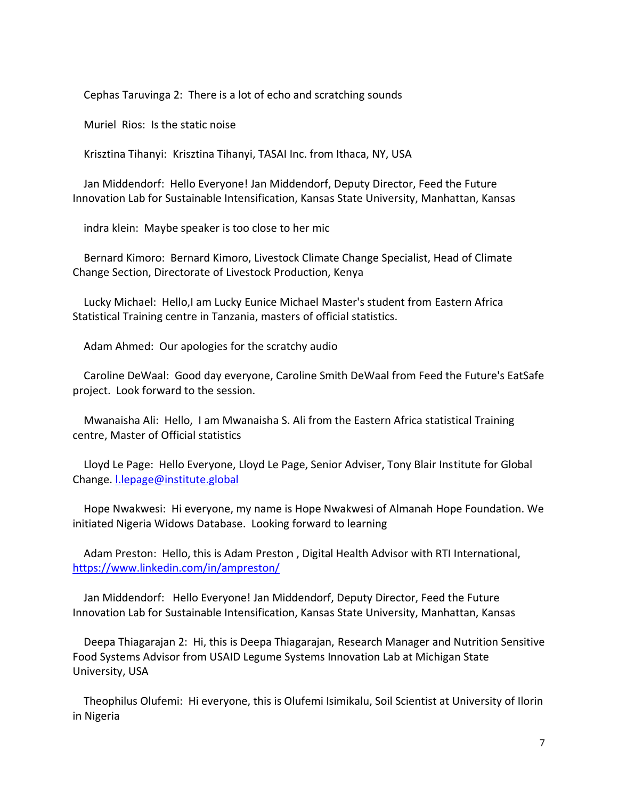Cephas Taruvinga 2: There is a lot of echo and scratching sounds

Muriel Rios: Is the static noise

Krisztina Tihanyi: Krisztina Tihanyi, TASAI Inc. from Ithaca, NY, USA

 Jan Middendorf: Hello Everyone! Jan Middendorf, Deputy Director, Feed the Future Innovation Lab for Sustainable Intensification, Kansas State University, Manhattan, Kansas

indra klein: Maybe speaker is too close to her mic

 Bernard Kimoro: Bernard Kimoro, Livestock Climate Change Specialist, Head of Climate Change Section, Directorate of Livestock Production, Kenya

 Lucky Michael: Hello,I am Lucky Eunice Michael Master's student from Eastern Africa Statistical Training centre in Tanzania, masters of official statistics.

Adam Ahmed: Our apologies for the scratchy audio

 Caroline DeWaal: Good day everyone, Caroline Smith DeWaal from Feed the Future's EatSafe project. Look forward to the session.

 Mwanaisha Ali: Hello, I am Mwanaisha S. Ali from the Eastern Africa statistical Training centre, Master of Official statistics

 Lloyd Le Page: Hello Everyone, Lloyd Le Page, Senior Adviser, Tony Blair Institute for Global Change. [l.lepage@institute.global](mailto:l.lepage@institute.global)

 Hope Nwakwesi: Hi everyone, my name is Hope Nwakwesi of Almanah Hope Foundation. We initiated Nigeria Widows Database. Looking forward to learning

 Adam Preston: Hello, this is Adam Preston , Digital Health Advisor with RTI International, <https://www.linkedin.com/in/ampreston/>

 Jan Middendorf: Hello Everyone! Jan Middendorf, Deputy Director, Feed the Future Innovation Lab for Sustainable Intensification, Kansas State University, Manhattan, Kansas

 Deepa Thiagarajan 2: Hi, this is Deepa Thiagarajan, Research Manager and Nutrition Sensitive Food Systems Advisor from USAID Legume Systems Innovation Lab at Michigan State University, USA

 Theophilus Olufemi: Hi everyone, this is Olufemi Isimikalu, Soil Scientist at University of Ilorin in Nigeria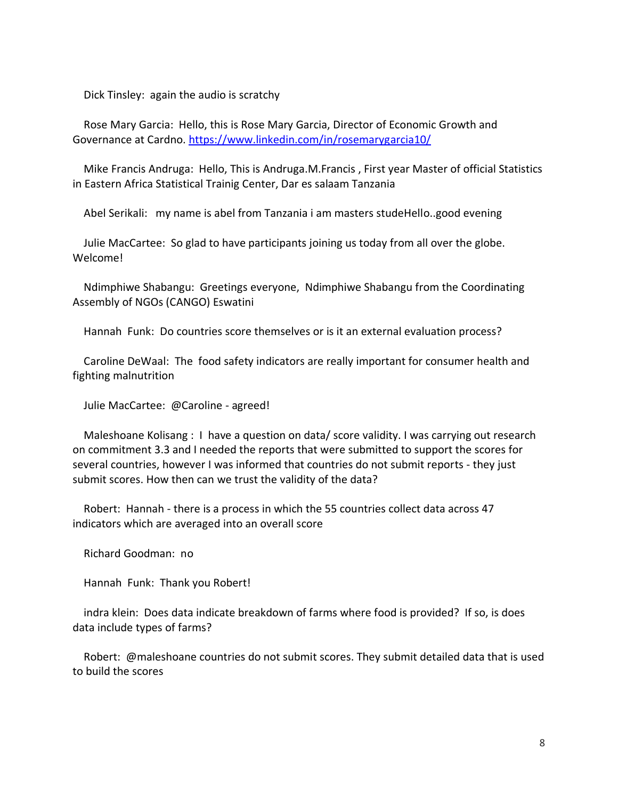Dick Tinsley: again the audio is scratchy

 Rose Mary Garcia: Hello, this is Rose Mary Garcia, Director of Economic Growth and Governance at Cardno.<https://www.linkedin.com/in/rosemarygarcia10/>

 Mike Francis Andruga: Hello, This is Andruga.M.Francis , First year Master of official Statistics in Eastern Africa Statistical Trainig Center, Dar es salaam Tanzania

Abel Serikali: my name is abel from Tanzania i am masters studeHello..good evening

 Julie MacCartee: So glad to have participants joining us today from all over the globe. Welcome!

 Ndimphiwe Shabangu: Greetings everyone, Ndimphiwe Shabangu from the Coordinating Assembly of NGOs (CANGO) Eswatini

Hannah Funk: Do countries score themselves or is it an external evaluation process?

 Caroline DeWaal: The food safety indicators are really important for consumer health and fighting malnutrition

Julie MacCartee: @Caroline - agreed!

 Maleshoane Kolisang : I have a question on data/ score validity. I was carrying out research on commitment 3.3 and I needed the reports that were submitted to support the scores for several countries, however I was informed that countries do not submit reports - they just submit scores. How then can we trust the validity of the data?

 Robert: Hannah - there is a process in which the 55 countries collect data across 47 indicators which are averaged into an overall score

Richard Goodman: no

Hannah Funk: Thank you Robert!

 indra klein: Does data indicate breakdown of farms where food is provided? If so, is does data include types of farms?

 Robert: @maleshoane countries do not submit scores. They submit detailed data that is used to build the scores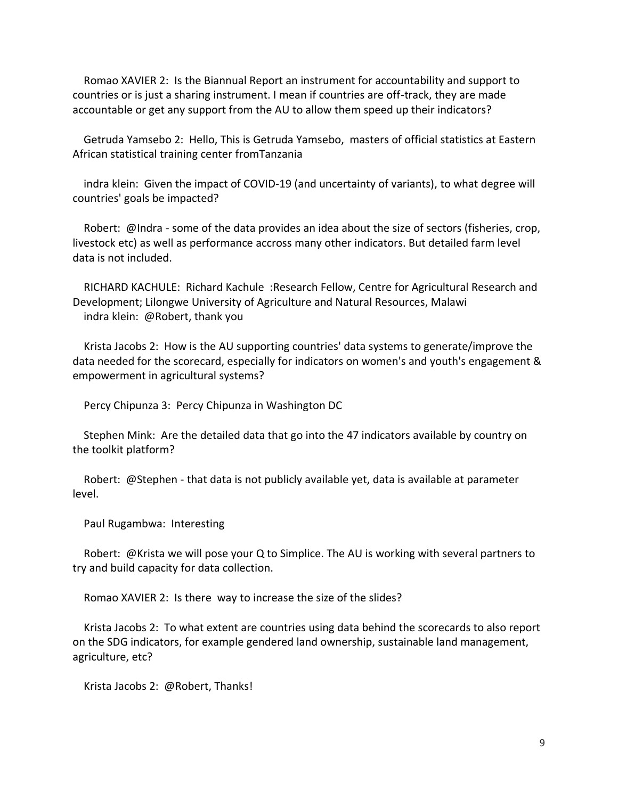Romao XAVIER 2: Is the Biannual Report an instrument for accountability and support to countries or is just a sharing instrument. I mean if countries are off-track, they are made accountable or get any support from the AU to allow them speed up their indicators?

 Getruda Yamsebo 2: Hello, This is Getruda Yamsebo, masters of official statistics at Eastern African statistical training center fromTanzania

 indra klein: Given the impact of COVID-19 (and uncertainty of variants), to what degree will countries' goals be impacted?

 Robert: @Indra - some of the data provides an idea about the size of sectors (fisheries, crop, livestock etc) as well as performance accross many other indicators. But detailed farm level data is not included.

 RICHARD KACHULE: Richard Kachule :Research Fellow, Centre for Agricultural Research and Development; Lilongwe University of Agriculture and Natural Resources, Malawi indra klein: @Robert, thank you

 Krista Jacobs 2: How is the AU supporting countries' data systems to generate/improve the data needed for the scorecard, especially for indicators on women's and youth's engagement & empowerment in agricultural systems?

Percy Chipunza 3: Percy Chipunza in Washington DC

 Stephen Mink: Are the detailed data that go into the 47 indicators available by country on the toolkit platform?

 Robert: @Stephen - that data is not publicly available yet, data is available at parameter level.

Paul Rugambwa: Interesting

 Robert: @Krista we will pose your Q to Simplice. The AU is working with several partners to try and build capacity for data collection.

Romao XAVIER 2: Is there way to increase the size of the slides?

 Krista Jacobs 2: To what extent are countries using data behind the scorecards to also report on the SDG indicators, for example gendered land ownership, sustainable land management, agriculture, etc?

Krista Jacobs 2: @Robert, Thanks!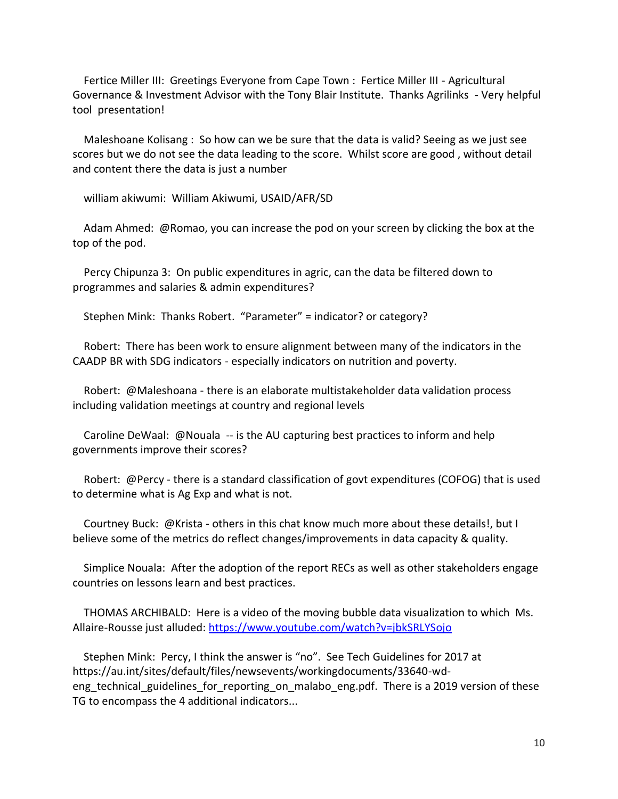Fertice Miller III: Greetings Everyone from Cape Town : Fertice Miller III - Agricultural Governance & Investment Advisor with the Tony Blair Institute. Thanks Agrilinks - Very helpful tool presentation!

 Maleshoane Kolisang : So how can we be sure that the data is valid? Seeing as we just see scores but we do not see the data leading to the score. Whilst score are good , without detail and content there the data is just a number

william akiwumi: William Akiwumi, USAID/AFR/SD

 Adam Ahmed: @Romao, you can increase the pod on your screen by clicking the box at the top of the pod.

 Percy Chipunza 3: On public expenditures in agric, can the data be filtered down to programmes and salaries & admin expenditures?

Stephen Mink: Thanks Robert. "Parameter" = indicator? or category?

 Robert: There has been work to ensure alignment between many of the indicators in the CAADP BR with SDG indicators - especially indicators on nutrition and poverty.

 Robert: @Maleshoana - there is an elaborate multistakeholder data validation process including validation meetings at country and regional levels

 Caroline DeWaal: @Nouala -- is the AU capturing best practices to inform and help governments improve their scores?

 Robert: @Percy - there is a standard classification of govt expenditures (COFOG) that is used to determine what is Ag Exp and what is not.

 Courtney Buck: @Krista - others in this chat know much more about these details!, but I believe some of the metrics do reflect changes/improvements in data capacity & quality.

 Simplice Nouala: After the adoption of the report RECs as well as other stakeholders engage countries on lessons learn and best practices.

 THOMAS ARCHIBALD: Here is a video of the moving bubble data visualization to which Ms. Allaire-Rousse just alluded[: https://www.youtube.com/watch?v=jbkSRLYSojo](https://www.youtube.com/watch?v=jbkSRLYSojo)

 Stephen Mink: Percy, I think the answer is "no". See Tech Guidelines for 2017 at https://au.int/sites/default/files/newsevents/workingdocuments/33640-wdeng technical guidelines for reporting on malabo eng.pdf. There is a 2019 version of these TG to encompass the 4 additional indicators...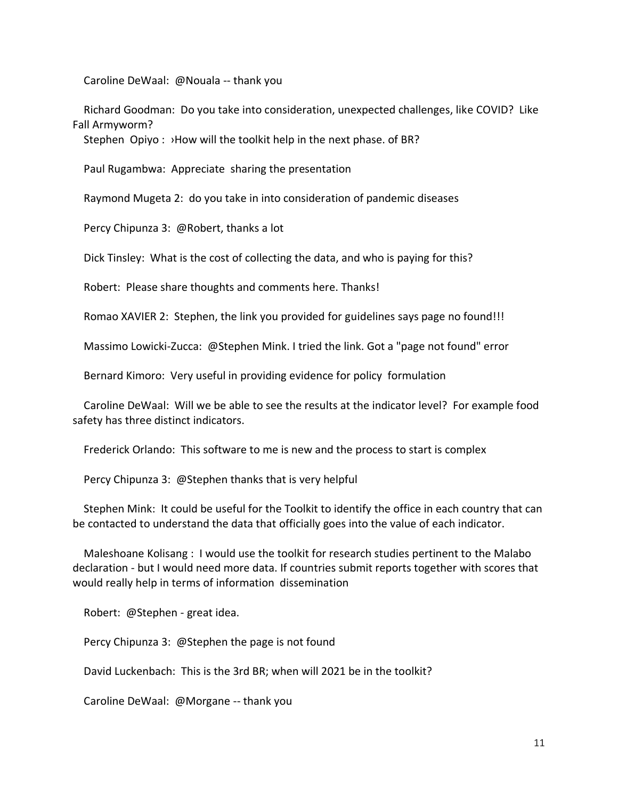Caroline DeWaal: @Nouala -- thank you

 Richard Goodman: Do you take into consideration, unexpected challenges, like COVID? Like Fall Armyworm?

Stephen Opiyo: >How will the toolkit help in the next phase. of BR?

Paul Rugambwa: Appreciate sharing the presentation

Raymond Mugeta 2: do you take in into consideration of pandemic diseases

Percy Chipunza 3: @Robert, thanks a lot

Dick Tinsley: What is the cost of collecting the data, and who is paying for this?

Robert: Please share thoughts and comments here. Thanks!

Romao XAVIER 2: Stephen, the link you provided for guidelines says page no found!!!

Massimo Lowicki-Zucca: @Stephen Mink. I tried the link. Got a "page not found" error

Bernard Kimoro: Very useful in providing evidence for policy formulation

 Caroline DeWaal: Will we be able to see the results at the indicator level? For example food safety has three distinct indicators.

Frederick Orlando: This software to me is new and the process to start is complex

Percy Chipunza 3: @Stephen thanks that is very helpful

 Stephen Mink: It could be useful for the Toolkit to identify the office in each country that can be contacted to understand the data that officially goes into the value of each indicator.

 Maleshoane Kolisang : I would use the toolkit for research studies pertinent to the Malabo declaration - but I would need more data. If countries submit reports together with scores that would really help in terms of information dissemination

Robert: @Stephen - great idea.

Percy Chipunza 3: @Stephen the page is not found

David Luckenbach: This is the 3rd BR; when will 2021 be in the toolkit?

Caroline DeWaal: @Morgane -- thank you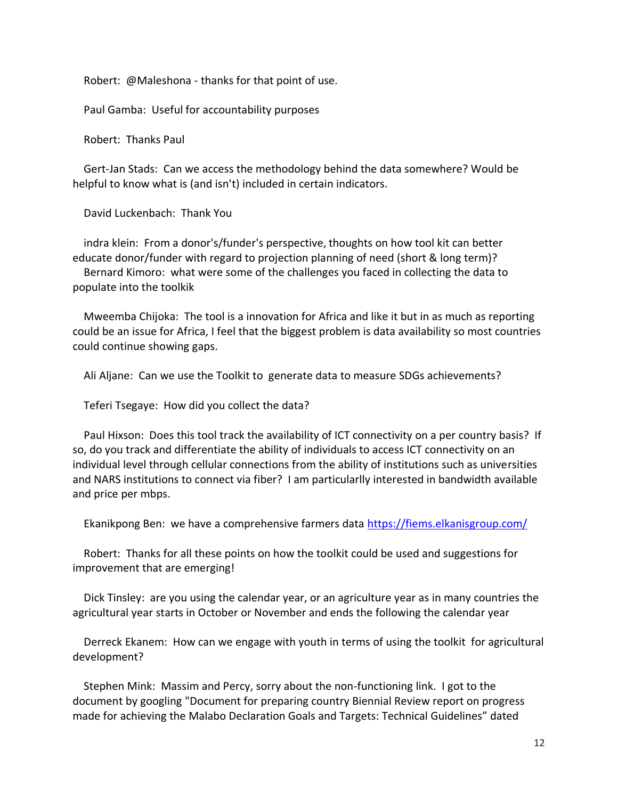Robert: @Maleshona - thanks for that point of use.

Paul Gamba: Useful for accountability purposes

Robert: Thanks Paul

 Gert-Jan Stads: Can we access the methodology behind the data somewhere? Would be helpful to know what is (and isn't) included in certain indicators.

David Luckenbach: Thank You

 indra klein: From a donor's/funder's perspective, thoughts on how tool kit can better educate donor/funder with regard to projection planning of need (short & long term)? Bernard Kimoro: what were some of the challenges you faced in collecting the data to populate into the toolkik

 Mweemba Chijoka: The tool is a innovation for Africa and like it but in as much as reporting could be an issue for Africa, I feel that the biggest problem is data availability so most countries could continue showing gaps.

Ali Aljane: Can we use the Toolkit to generate data to measure SDGs achievements?

Teferi Tsegaye: How did you collect the data?

 Paul Hixson: Does this tool track the availability of ICT connectivity on a per country basis? If so, do you track and differentiate the ability of individuals to access ICT connectivity on an individual level through cellular connections from the ability of institutions such as universities and NARS institutions to connect via fiber? I am particularlly interested in bandwidth available and price per mbps.

Ekanikpong Ben: we have a comprehensive farmers data<https://fiems.elkanisgroup.com/>

 Robert: Thanks for all these points on how the toolkit could be used and suggestions for improvement that are emerging!

 Dick Tinsley: are you using the calendar year, or an agriculture year as in many countries the agricultural year starts in October or November and ends the following the calendar year

 Derreck Ekanem: How can we engage with youth in terms of using the toolkit for agricultural development?

 Stephen Mink: Massim and Percy, sorry about the non-functioning link. I got to the document by googling "Document for preparing country Biennial Review report on progress made for achieving the Malabo Declaration Goals and Targets: Technical Guidelines" dated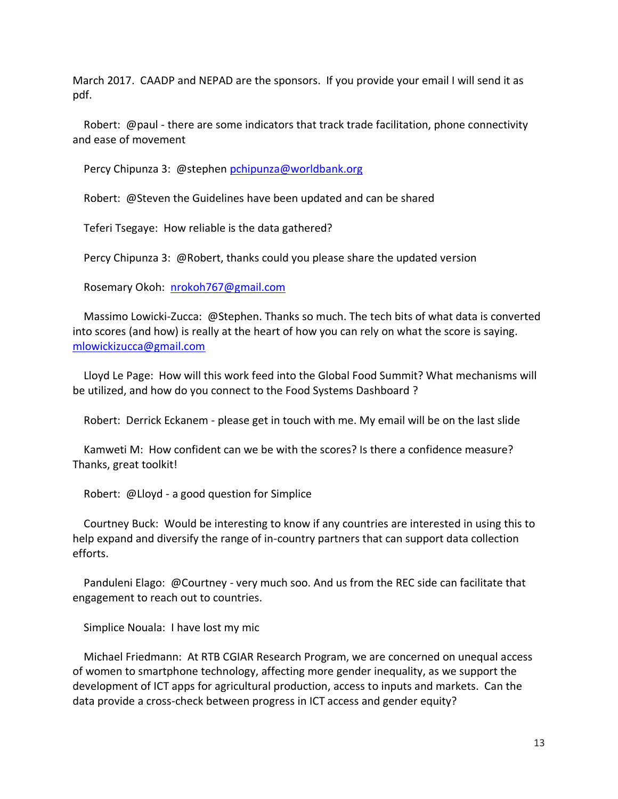March 2017. CAADP and NEPAD are the sponsors. If you provide your email I will send it as pdf.

 Robert: @paul - there are some indicators that track trade facilitation, phone connectivity and ease of movement

Percy Chipunza 3: @stephen [pchipunza@worldbank.org](mailto:pchipunza@worldbank.org)

Robert: @Steven the Guidelines have been updated and can be shared

Teferi Tsegaye: How reliable is the data gathered?

Percy Chipunza 3: @Robert, thanks could you please share the updated version

Rosemary Okoh: [nrokoh767@gmail.com](mailto:nrokoh767@gmail.com)

 Massimo Lowicki-Zucca: @Stephen. Thanks so much. The tech bits of what data is converted into scores (and how) is really at the heart of how you can rely on what the score is saying. [mlowickizucca@gmail.com](mailto:mlowickizucca@gmail.com)

 Lloyd Le Page: How will this work feed into the Global Food Summit? What mechanisms will be utilized, and how do you connect to the Food Systems Dashboard ?

Robert: Derrick Eckanem - please get in touch with me. My email will be on the last slide

 Kamweti M: How confident can we be with the scores? Is there a confidence measure? Thanks, great toolkit!

Robert: @Lloyd - a good question for Simplice

 Courtney Buck: Would be interesting to know if any countries are interested in using this to help expand and diversify the range of in-country partners that can support data collection efforts.

 Panduleni Elago: @Courtney - very much soo. And us from the REC side can facilitate that engagement to reach out to countries.

Simplice Nouala: I have lost my mic

 Michael Friedmann: At RTB CGIAR Research Program, we are concerned on unequal access of women to smartphone technology, affecting more gender inequality, as we support the development of ICT apps for agricultural production, access to inputs and markets. Can the data provide a cross-check between progress in ICT access and gender equity?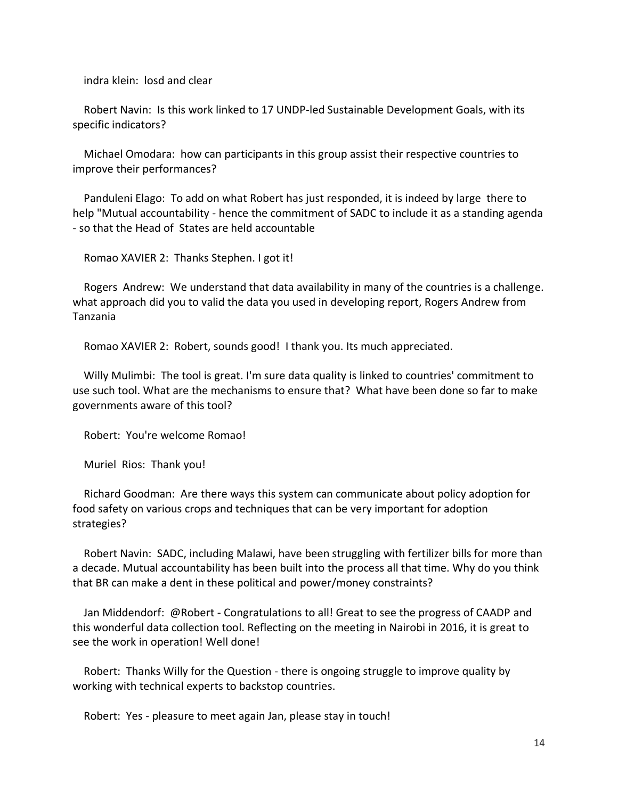indra klein: losd and clear

 Robert Navin: Is this work linked to 17 UNDP-led Sustainable Development Goals, with its specific indicators?

 Michael Omodara: how can participants in this group assist their respective countries to improve their performances?

 Panduleni Elago: To add on what Robert has just responded, it is indeed by large there to help "Mutual accountability - hence the commitment of SADC to include it as a standing agenda - so that the Head of States are held accountable

Romao XAVIER 2: Thanks Stephen. I got it!

 Rogers Andrew: We understand that data availability in many of the countries is a challenge. what approach did you to valid the data you used in developing report, Rogers Andrew from Tanzania

Romao XAVIER 2: Robert, sounds good! I thank you. Its much appreciated.

 Willy Mulimbi: The tool is great. I'm sure data quality is linked to countries' commitment to use such tool. What are the mechanisms to ensure that? What have been done so far to make governments aware of this tool?

Robert: You're welcome Romao!

Muriel Rios: Thank you!

 Richard Goodman: Are there ways this system can communicate about policy adoption for food safety on various crops and techniques that can be very important for adoption strategies?

 Robert Navin: SADC, including Malawi, have been struggling with fertilizer bills for more than a decade. Mutual accountability has been built into the process all that time. Why do you think that BR can make a dent in these political and power/money constraints?

 Jan Middendorf: @Robert - Congratulations to all! Great to see the progress of CAADP and this wonderful data collection tool. Reflecting on the meeting in Nairobi in 2016, it is great to see the work in operation! Well done!

 Robert: Thanks Willy for the Question - there is ongoing struggle to improve quality by working with technical experts to backstop countries.

Robert: Yes - pleasure to meet again Jan, please stay in touch!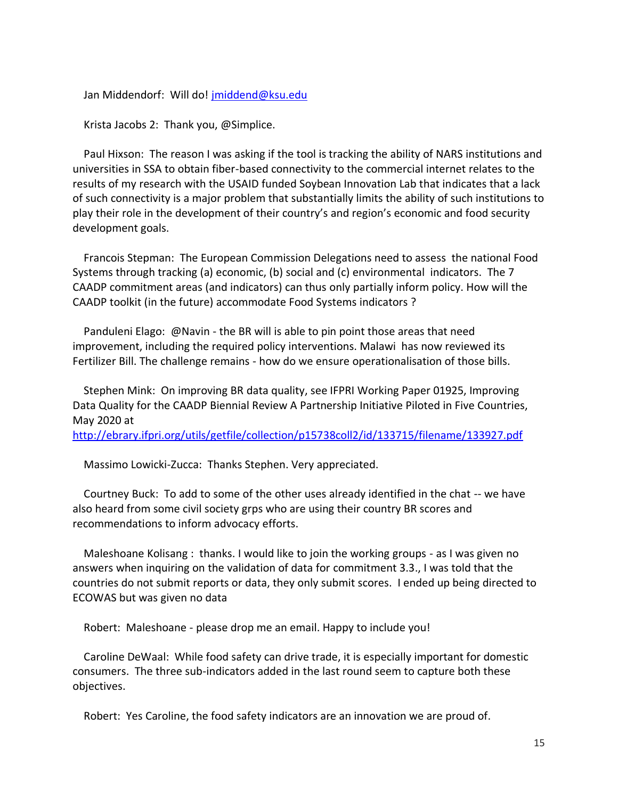Jan Middendorf: Will do! [jmiddend@ksu.edu](mailto:jmiddend@ksu.edu)

Krista Jacobs 2: Thank you, @Simplice.

 Paul Hixson: The reason I was asking if the tool is tracking the ability of NARS institutions and universities in SSA to obtain fiber-based connectivity to the commercial internet relates to the results of my research with the USAID funded Soybean Innovation Lab that indicates that a lack of such connectivity is a major problem that substantially limits the ability of such institutions to play their role in the development of their country's and region's economic and food security development goals.

 Francois Stepman: The European Commission Delegations need to assess the national Food Systems through tracking (a) economic, (b) social and (c) environmental indicators. The 7 CAADP commitment areas (and indicators) can thus only partially inform policy. How will the CAADP toolkit (in the future) accommodate Food Systems indicators ?

 Panduleni Elago: @Navin - the BR will is able to pin point those areas that need improvement, including the required policy interventions. Malawi has now reviewed its Fertilizer Bill. The challenge remains - how do we ensure operationalisation of those bills.

 Stephen Mink: On improving BR data quality, see IFPRI Working Paper 01925, Improving Data Quality for the CAADP Biennial Review A Partnership Initiative Piloted in Five Countries, May 2020 at

<http://ebrary.ifpri.org/utils/getfile/collection/p15738coll2/id/133715/filename/133927.pdf>

Massimo Lowicki-Zucca: Thanks Stephen. Very appreciated.

 Courtney Buck: To add to some of the other uses already identified in the chat -- we have also heard from some civil society grps who are using their country BR scores and recommendations to inform advocacy efforts.

 Maleshoane Kolisang : thanks. I would like to join the working groups - as I was given no answers when inquiring on the validation of data for commitment 3.3., I was told that the countries do not submit reports or data, they only submit scores. I ended up being directed to ECOWAS but was given no data

Robert: Maleshoane - please drop me an email. Happy to include you!

 Caroline DeWaal: While food safety can drive trade, it is especially important for domestic consumers. The three sub-indicators added in the last round seem to capture both these objectives.

Robert: Yes Caroline, the food safety indicators are an innovation we are proud of.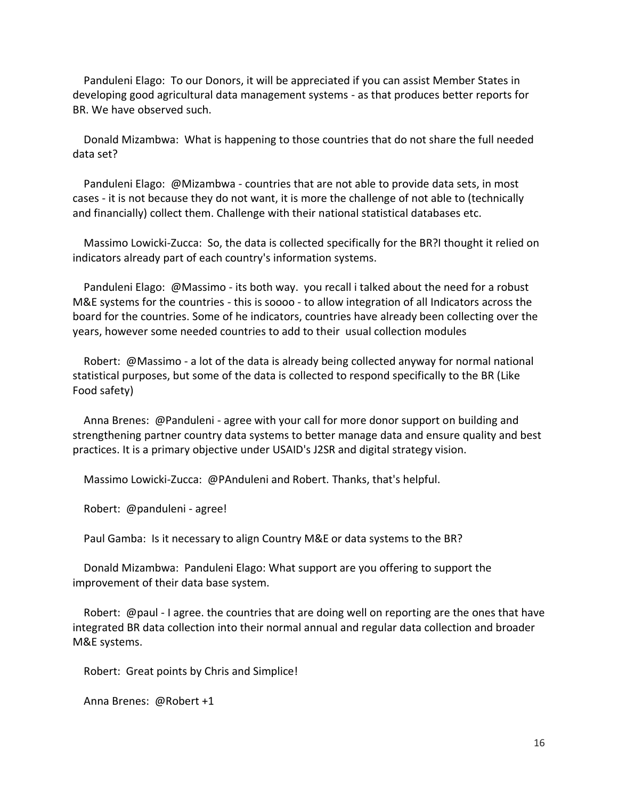Panduleni Elago: To our Donors, it will be appreciated if you can assist Member States in developing good agricultural data management systems - as that produces better reports for BR. We have observed such.

 Donald Mizambwa: What is happening to those countries that do not share the full needed data set?

 Panduleni Elago: @Mizambwa - countries that are not able to provide data sets, in most cases - it is not because they do not want, it is more the challenge of not able to (technically and financially) collect them. Challenge with their national statistical databases etc.

 Massimo Lowicki-Zucca: So, the data is collected specifically for the BR?I thought it relied on indicators already part of each country's information systems.

 Panduleni Elago: @Massimo - its both way. you recall i talked about the need for a robust M&E systems for the countries - this is soooo - to allow integration of all Indicators across the board for the countries. Some of he indicators, countries have already been collecting over the years, however some needed countries to add to their usual collection modules

 Robert: @Massimo - a lot of the data is already being collected anyway for normal national statistical purposes, but some of the data is collected to respond specifically to the BR (Like Food safety)

 Anna Brenes: @Panduleni - agree with your call for more donor support on building and strengthening partner country data systems to better manage data and ensure quality and best practices. It is a primary objective under USAID's J2SR and digital strategy vision.

Massimo Lowicki-Zucca: @PAnduleni and Robert. Thanks, that's helpful.

Robert: @panduleni - agree!

Paul Gamba: Is it necessary to align Country M&E or data systems to the BR?

 Donald Mizambwa: Panduleni Elago: What support are you offering to support the improvement of their data base system.

 Robert: @paul - I agree. the countries that are doing well on reporting are the ones that have integrated BR data collection into their normal annual and regular data collection and broader M&E systems.

Robert: Great points by Chris and Simplice!

Anna Brenes: @Robert +1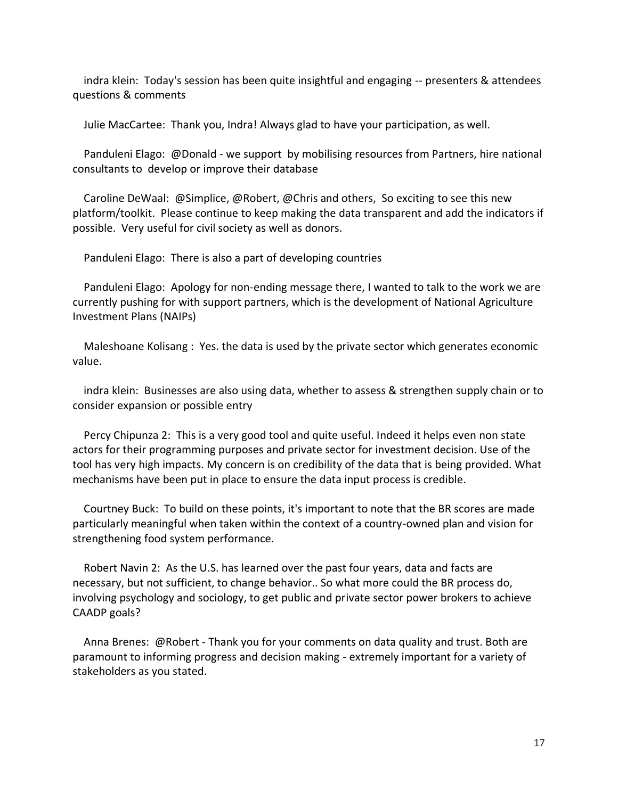indra klein: Today's session has been quite insightful and engaging -- presenters & attendees questions & comments

Julie MacCartee: Thank you, Indra! Always glad to have your participation, as well.

 Panduleni Elago: @Donald - we support by mobilising resources from Partners, hire national consultants to develop or improve their database

 Caroline DeWaal: @Simplice, @Robert, @Chris and others, So exciting to see this new platform/toolkit. Please continue to keep making the data transparent and add the indicators if possible. Very useful for civil society as well as donors.

Panduleni Elago: There is also a part of developing countries

 Panduleni Elago: Apology for non-ending message there, I wanted to talk to the work we are currently pushing for with support partners, which is the development of National Agriculture Investment Plans (NAIPs)

 Maleshoane Kolisang : Yes. the data is used by the private sector which generates economic value.

 indra klein: Businesses are also using data, whether to assess & strengthen supply chain or to consider expansion or possible entry

 Percy Chipunza 2: This is a very good tool and quite useful. Indeed it helps even non state actors for their programming purposes and private sector for investment decision. Use of the tool has very high impacts. My concern is on credibility of the data that is being provided. What mechanisms have been put in place to ensure the data input process is credible.

 Courtney Buck: To build on these points, it's important to note that the BR scores are made particularly meaningful when taken within the context of a country-owned plan and vision for strengthening food system performance.

 Robert Navin 2: As the U.S. has learned over the past four years, data and facts are necessary, but not sufficient, to change behavior.. So what more could the BR process do, involving psychology and sociology, to get public and private sector power brokers to achieve CAADP goals?

 Anna Brenes: @Robert - Thank you for your comments on data quality and trust. Both are paramount to informing progress and decision making - extremely important for a variety of stakeholders as you stated.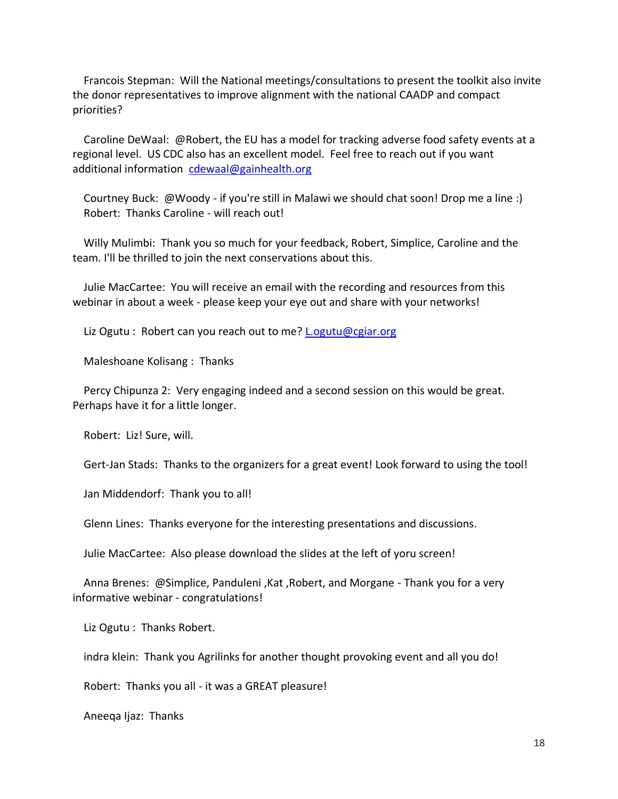Francois Stepman: Will the National meetings/consultations to present the toolkit also invite the donor representatives to improve alignment with the national CAADP and compact priorities?

 Caroline DeWaal: @Robert, the EU has a model for tracking adverse food safety events at a regional level. US CDC also has an excellent model. Feel free to reach out if you want additional information [cdewaal@gainhealth.org](mailto:cdewaal@gainhealth.org)

 Courtney Buck: @Woody - if you're still in Malawi we should chat soon! Drop me a line :) Robert: Thanks Caroline - will reach out!

 Willy Mulimbi: Thank you so much for your feedback, Robert, Simplice, Caroline and the team. I'll be thrilled to join the next conservations about this.

 Julie MacCartee: You will receive an email with the recording and resources from this webinar in about a week - please keep your eye out and share with your networks!

Liz Ogutu : Robert can you reach out to me? [L.ogutu@cgiar.org](mailto:L.ogutu@cgiar.org)

Maleshoane Kolisang : Thanks

 Percy Chipunza 2: Very engaging indeed and a second session on this would be great. Perhaps have it for a little longer.

Robert: Liz! Sure, will.

Gert-Jan Stads: Thanks to the organizers for a great event! Look forward to using the tool!

Jan Middendorf: Thank you to all!

Glenn Lines: Thanks everyone for the interesting presentations and discussions.

Julie MacCartee: Also please download the slides at the left of yoru screen!

 Anna Brenes: @Simplice, Panduleni ,Kat ,Robert, and Morgane - Thank you for a very informative webinar - congratulations!

Liz Ogutu : Thanks Robert.

indra klein: Thank you Agrilinks for another thought provoking event and all you do!

Robert: Thanks you all - it was a GREAT pleasure!

Aneeqa Ijaz: Thanks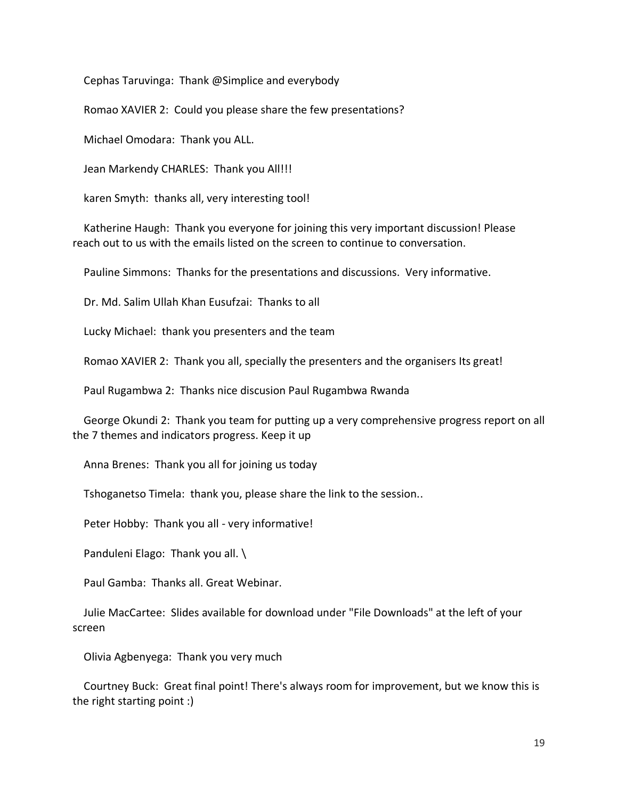Cephas Taruvinga: Thank @Simplice and everybody

Romao XAVIER 2: Could you please share the few presentations?

Michael Omodara: Thank you ALL.

Jean Markendy CHARLES: Thank you All!!!

karen Smyth: thanks all, very interesting tool!

 Katherine Haugh: Thank you everyone for joining this very important discussion! Please reach out to us with the emails listed on the screen to continue to conversation.

Pauline Simmons: Thanks for the presentations and discussions. Very informative.

Dr. Md. Salim Ullah Khan Eusufzai: Thanks to all

Lucky Michael: thank you presenters and the team

Romao XAVIER 2: Thank you all, specially the presenters and the organisers Its great!

Paul Rugambwa 2: Thanks nice discusion Paul Rugambwa Rwanda

 George Okundi 2: Thank you team for putting up a very comprehensive progress report on all the 7 themes and indicators progress. Keep it up

Anna Brenes: Thank you all for joining us today

Tshoganetso Timela: thank you, please share the link to the session..

Peter Hobby: Thank you all - very informative!

Panduleni Elago: Thank you all. \

Paul Gamba: Thanks all. Great Webinar.

 Julie MacCartee: Slides available for download under "File Downloads" at the left of your screen

Olivia Agbenyega: Thank you very much

 Courtney Buck: Great final point! There's always room for improvement, but we know this is the right starting point :)